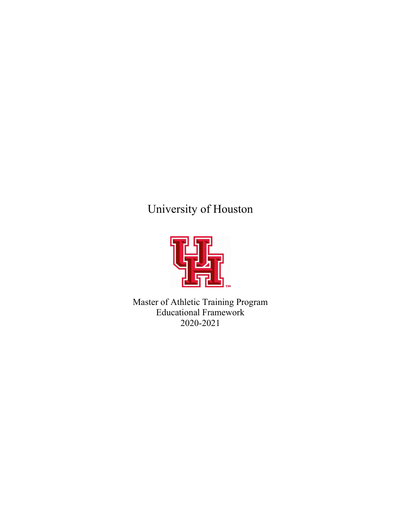# University of Houston



Master of Athletic Training Program Educational Framework 2020-2021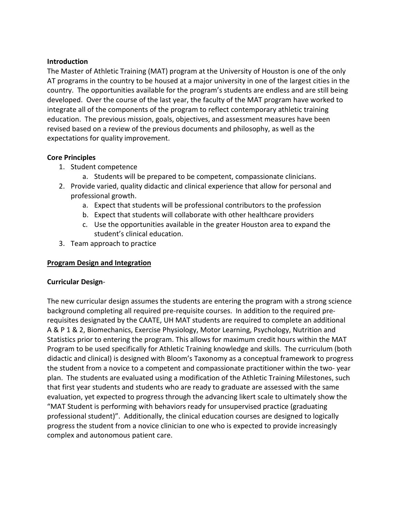### **Introduction**

The Master of Athletic Training (MAT) program at the University of Houston is one of the only AT programs in the country to be housed at a major university in one of the largest cities in the country. The opportunities available for the program's students are endless and are still being developed. Over the course of the last year, the faculty of the MAT program have worked to integrate all of the components of the program to reflect contemporary athletic training education. The previous mission, goals, objectives, and assessment measures have been revised based on a review of the previous documents and philosophy, as well as the expectations for quality improvement.

### **Core Principles**

- 1. Student competence
	- a. Students will be prepared to be competent, compassionate clinicians.
- 2. Provide varied, quality didactic and clinical experience that allow for personal and professional growth.
	- a. Expect that students will be professional contributors to the profession
	- b. Expect that students will collaborate with other healthcare providers
	- c. Use the opportunities available in the greater Houston area to expand the student's clinical education.
- 3. Team approach to practice

### **Program Design and Integration**

### **Curricular Design**-

The new curricular design assumes the students are entering the program with a strong science background completing all required pre-requisite courses. In addition to the required prerequisites designated by the CAATE, UH MAT students are required to complete an additional A & P 1 & 2, Biomechanics, Exercise Physiology, Motor Learning, Psychology, Nutrition and Statistics prior to entering the program. This allows for maximum credit hours within the MAT Program to be used specifically for Athletic Training knowledge and skills. The curriculum (both didactic and clinical) is designed with Bloom's Taxonomy as a conceptual framework to progress the student from a novice to a competent and compassionate practitioner within the two- year plan. The students are evaluated using a modification of the Athletic Training Milestones, such that first year students and students who are ready to graduate are assessed with the same evaluation, yet expected to progress through the advancing likert scale to ultimately show the "MAT Student is performing with behaviors ready for unsupervised practice (graduating professional student)". Additionally, the clinical education courses are designed to logically progress the student from a novice clinician to one who is expected to provide increasingly complex and autonomous patient care.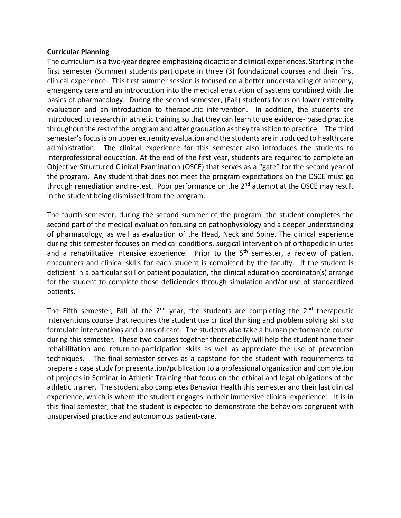#### **Curricular Planning**

The curriculum is a two-year degree emphasizing didactic and clinical experiences. Starting in the first semester (Summer) students participate in three (3) foundational courses and their first clinical experience. This first summer session is focused on a better understanding of anatomy, emergency care and an introduction into the medical evaluation of systems combined with the basics of pharmacology. During the second semester, (Fall) students focus on lower extremity evaluation and an introduction to therapeutic intervention. In addition, the students are introduced to research in athletic training so that they can learn to use evidence- based practice throughout the rest of the program and after graduation as they transition to practice. The third semester's focus is on upper extremity evaluation and the students are introduced to health care administration. The clinical experience for this semester also introduces the students to interprofessional education. At the end of the first year, students are required to complete an Objective Structured Clinical Examination (OSCE) that serves as a "gate" for the second year of the program. Any student that does not meet the program expectations on the OSCE must go through remediation and re-test. Poor performance on the 2<sup>nd</sup> attempt at the OSCE may result in the student being dismissed from the program.

The fourth semester, during the second summer of the program, the student completes the second part of the medical evaluation focusing on pathophysiology and a deeper understanding of pharmacology, as well as evaluation of the Head, Neck and Spine. The clinical experience during this semester focuses on medical conditions, surgical intervention of orthopedic injuries and a rehabilitative intensive experience. Prior to the  $5<sup>th</sup>$  semester, a review of patient encounters and clinical skills for each student is completed by the faculty. If the student is deficient in a particular skill or patient population, the clinical education coordinator(s) arrange for the student to complete those deficiencies through simulation and/or use of standardized patients.

The Fifth semester, Fall of the  $2^{nd}$  year, the students are completing the  $2^{nd}$  therapeutic interventions course that requires the student use critical thinking and problem solving skills to formulate interventions and plans of care. The students also take a human performance course during this semester. These two courses together theoretically will help the student hone their rehabilitation and return-to-participation skills as well as appreciate the use of prevention techniques. The final semester serves as a capstone for the student with requirements to prepare a case study for presentation/publication to a professional organization and completion of projects in Seminar in Athletic Training that focus on the ethical and legal obligations of the athletic trainer. The student also completes Behavior Health this semester and their last clinical experience, which is where the student engages in their immersive clinical experience. It is in this final semester, that the student is expected to demonstrate the behaviors congruent with unsupervised practice and autonomous patient-care.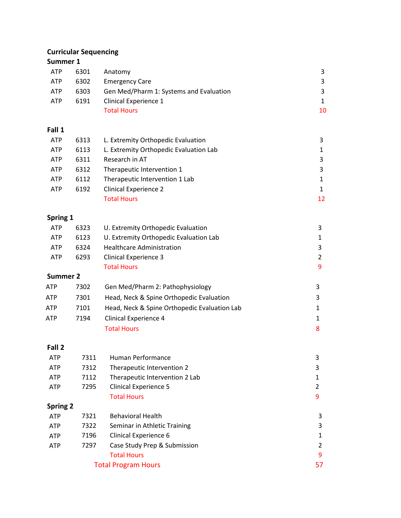# **Curricular Sequencing**

## **Summer 1**

| <b>ATP</b> | 6301 | Anatomy                                 |    |
|------------|------|-----------------------------------------|----|
| ATP        | 6302 | <b>Emergency Care</b>                   |    |
| <b>ATP</b> | 6303 | Gen Med/Pharm 1: Systems and Evaluation |    |
| <b>ATP</b> | 6191 | Clinical Experience 1                   |    |
|            |      | <b>Total Hours</b>                      | 10 |

## **Fall 1**

| <b>ATP</b> | 6313 | L. Extremity Orthopedic Evaluation     | 3  |
|------------|------|----------------------------------------|----|
| <b>ATP</b> | 6113 | L. Extremity Orthopedic Evaluation Lab |    |
| <b>ATP</b> | 6311 | Research in AT                         | 3  |
| <b>ATP</b> | 6312 | Therapeutic Intervention 1             | 3  |
| <b>ATP</b> | 6112 | Therapeutic Intervention 1 Lab         | 1  |
| <b>ATP</b> | 6192 | <b>Clinical Experience 2</b>           |    |
|            |      | <b>Total Hours</b>                     | 12 |

# **Spring 1**

| <b>Summer 2</b> |      |                                        |                |
|-----------------|------|----------------------------------------|----------------|
|                 |      |                                        |                |
|                 |      | <b>Total Hours</b>                     | 9              |
| <b>ATP</b>      | 6293 | <b>Clinical Experience 3</b>           | $\overline{2}$ |
| <b>ATP</b>      | 6324 | Healthcare Administration              | 3              |
| <b>ATP</b>      | 6123 | U. Extremity Orthopedic Evaluation Lab | 1              |
| <b>ATP</b>      | 6323 | U. Extremity Orthopedic Evaluation     | 3              |

| ATP | 7302 | Gen Med/Pharm 2: Pathophysiology             |  |
|-----|------|----------------------------------------------|--|
| ATP | 7301 | Head, Neck & Spine Orthopedic Evaluation     |  |
| ATP | 7101 | Head, Neck & Spine Orthopedic Evaluation Lab |  |
| ATP | 7194 | Clinical Experience 4                        |  |
|     |      | <b>Total Hours</b>                           |  |

### **Fall 2**

| <b>ATP</b>      | 7311 | Human Performance              | 3             |
|-----------------|------|--------------------------------|---------------|
| <b>ATP</b>      | 7312 | Therapeutic Intervention 2     | 3             |
| <b>ATP</b>      | 7112 | Therapeutic Intervention 2 Lab |               |
| <b>ATP</b>      | 7295 | Clinical Experience 5          | $\mathcal{P}$ |
|                 |      | <b>Total Hours</b>             | 9             |
| <b>Spring 2</b> |      |                                |               |
| <b>ATP</b>      | 7321 | <b>Behavioral Health</b>       | 3             |
| <b>ATP</b>      | 7322 | Seminar in Athletic Training   | 3             |
| <b>ATP</b>      | 7196 | Clinical Experience 6          | 1             |
| <b>ATP</b>      | 7297 | Case Study Prep & Submission   | 2             |
|                 |      | <b>Total Hours</b>             | 9             |
|                 |      | <b>Total Program Hours</b>     | 57            |
|                 |      |                                |               |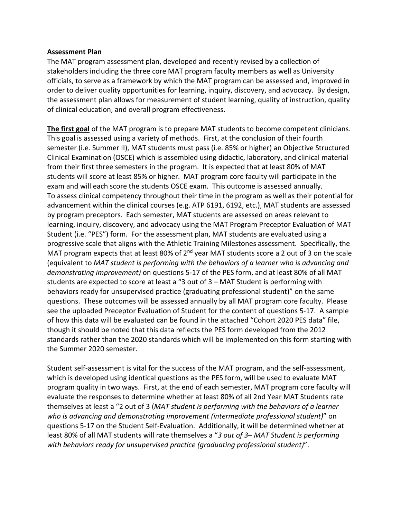#### **Assessment Plan**

The MAT program assessment plan, developed and recently revised by a collection of stakeholders including the three core MAT program faculty members as well as University officials, to serve as a framework by which the MAT program can be assessed and, improved in order to deliver quality opportunities for learning, inquiry, discovery, and advocacy. By design, the assessment plan allows for measurement of student learning, quality of instruction, quality of clinical education, and overall program effectiveness.

**The first goal** of the MAT program is to prepare MAT students to become competent clinicians. This goal is assessed using a variety of methods. First, at the conclusion of their fourth semester (i.e. Summer II), MAT students must pass (i.e. 85% or higher) an Objective Structured Clinical Examination (OSCE) which is assembled using didactic, laboratory, and clinical material from their first three semesters in the program. It is expected that at least 80% of MAT students will score at least 85% or higher. MAT program core faculty will participate in the exam and will each score the students OSCE exam. This outcome is assessed annually. To assess clinical competency throughout their time in the program as well as their potential for advancement within the clinical courses (e.g. ATP 6191, 6192, etc.), MAT students are assessed by program preceptors. Each semester, MAT students are assessed on areas relevant to learning, inquiry, discovery, and advocacy using the MAT Program Preceptor Evaluation of MAT Student (i.e. "PES") form. For the assessment plan, MAT students are evaluated using a progressive scale that aligns with the Athletic Training Milestones assessment. Specifically, the MAT program expects that at least 80% of  $2<sup>nd</sup>$  year MAT students score a 2 out of 3 on the scale (equivalent to *MAT student is performing with the behaviors of a learner who is advancing and demonstrating improvement)* on questions 5-17 of the PES form, and at least 80% of all MAT students are expected to score at least a "3 out of 3 – MAT Student is performing with behaviors ready for unsupervised practice (graduating professional student)" on the same questions. These outcomes will be assessed annually by all MAT program core faculty. Please see the uploaded Preceptor Evaluation of Student for the content of questions 5-17. A sample of how this data will be evaluated can be found in the attached "Cohort 2020 PES data" file, though it should be noted that this data reflects the PES form developed from the 2012 standards rather than the 2020 standards which will be implemented on this form starting with the Summer 2020 semester.

Student self-assessment is vital for the success of the MAT program, and the self-assessment, which is developed using identical questions as the PES form, will be used to evaluate MAT program quality in two ways. First, at the end of each semester, MAT program core faculty will evaluate the responses to determine whether at least 80% of all 2nd Year MAT Students rate themselves at least a "2 out of 3 (*MAT student is performing with the behaviors of a learner who is advancing and demonstrating improvement (intermediate professional student)*" on questions 5-17 on the Student Self-Evaluation. Additionally, it will be determined whether at least 80% of all MAT students will rate themselves a "*3 out of 3– MAT Student is performing with behaviors ready for unsupervised practice (graduating professional student)*".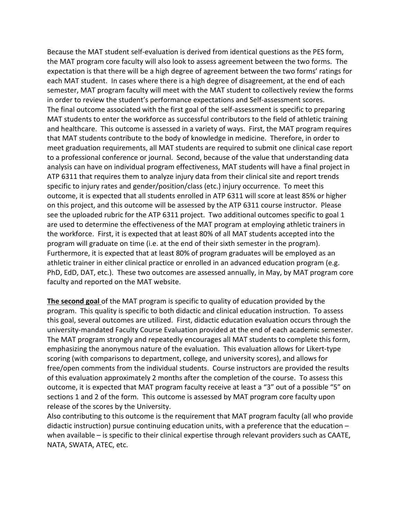Because the MAT student self-evaluation is derived from identical questions as the PES form, the MAT program core faculty will also look to assess agreement between the two forms. The expectation is that there will be a high degree of agreement between the two forms' ratings for each MAT student. In cases where there is a high degree of disagreement, at the end of each semester, MAT program faculty will meet with the MAT student to collectively review the forms in order to review the student's performance expectations and Self-assessment scores. The final outcome associated with the first goal of the self-assessment is specific to preparing MAT students to enter the workforce as successful contributors to the field of athletic training and healthcare. This outcome is assessed in a variety of ways. First, the MAT program requires that MAT students contribute to the body of knowledge in medicine. Therefore, in order to meet graduation requirements, all MAT students are required to submit one clinical case report to a professional conference or journal. Second, because of the value that understanding data analysis can have on individual program effectiveness, MAT students will have a final project in ATP 6311 that requires them to analyze injury data from their clinical site and report trends specific to injury rates and gender/position/class (etc.) injury occurrence. To meet this outcome, it is expected that all students enrolled in ATP 6311 will score at least 85% or higher on this project, and this outcome will be assessed by the ATP 6311 course instructor. Please see the uploaded rubric for the ATP 6311 project. Two additional outcomes specific to goal 1 are used to determine the effectiveness of the MAT program at employing athletic trainers in the workforce. First, it is expected that at least 80% of all MAT students accepted into the program will graduate on time (i.e. at the end of their sixth semester in the program). Furthermore, it is expected that at least 80% of program graduates will be employed as an athletic trainer in either clinical practice or enrolled in an advanced education program (e.g. PhD, EdD, DAT, etc.). These two outcomes are assessed annually, in May, by MAT program core faculty and reported on the MAT website.

**The second goal** of the MAT program is specific to quality of education provided by the program. This quality is specific to both didactic and clinical education instruction. To assess this goal, several outcomes are utilized. First, didactic education evaluation occurs through the university-mandated Faculty Course Evaluation provided at the end of each academic semester. The MAT program strongly and repeatedly encourages all MAT students to complete this form, emphasizing the anonymous nature of the evaluation. This evaluation allows for Likert-type scoring (with comparisons to department, college, and university scores), and allows for free/open comments from the individual students. Course instructors are provided the results of this evaluation approximately 2 months after the completion of the course. To assess this outcome, it is expected that MAT program faculty receive at least a "3" out of a possible "5" on sections 1 and 2 of the form. This outcome is assessed by MAT program core faculty upon release of the scores by the University.

Also contributing to this outcome is the requirement that MAT program faculty (all who provide didactic instruction) pursue continuing education units, with a preference that the education – when available – is specific to their clinical expertise through relevant providers such as CAATE, NATA, SWATA, ATEC, etc.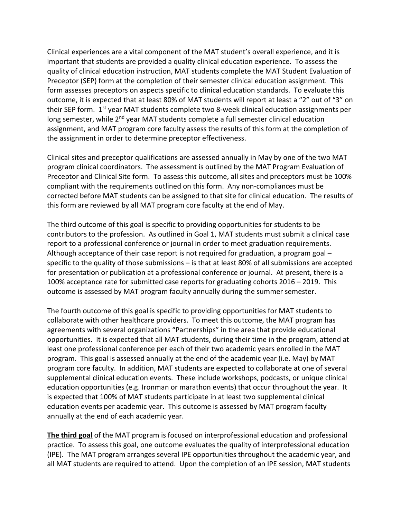Clinical experiences are a vital component of the MAT student's overall experience, and it is important that students are provided a quality clinical education experience. To assess the quality of clinical education instruction, MAT students complete the MAT Student Evaluation of Preceptor (SEP) form at the completion of their semester clinical education assignment. This form assesses preceptors on aspects specific to clinical education standards. To evaluate this outcome, it is expected that at least 80% of MAT students will report at least a "2" out of "3" on their SEP form. 1<sup>st</sup> year MAT students complete two 8-week clinical education assignments per long semester, while 2<sup>nd</sup> year MAT students complete a full semester clinical education assignment, and MAT program core faculty assess the results of this form at the completion of the assignment in order to determine preceptor effectiveness.

Clinical sites and preceptor qualifications are assessed annually in May by one of the two MAT program clinical coordinators. The assessment is outlined by the MAT Program Evaluation of Preceptor and Clinical Site form. To assess this outcome, all sites and preceptors must be 100% compliant with the requirements outlined on this form. Any non-compliances must be corrected before MAT students can be assigned to that site for clinical education. The results of this form are reviewed by all MAT program core faculty at the end of May.

The third outcome of this goal is specific to providing opportunities for students to be contributors to the profession. As outlined in Goal 1, MAT students must submit a clinical case report to a professional conference or journal in order to meet graduation requirements. Although acceptance of their case report is not required for graduation, a program goal  $$ specific to the quality of those submissions – is that at least 80% of all submissions are accepted for presentation or publication at a professional conference or journal. At present, there is a 100% acceptance rate for submitted case reports for graduating cohorts 2016 – 2019. This outcome is assessed by MAT program faculty annually during the summer semester.

The fourth outcome of this goal is specific to providing opportunities for MAT students to collaborate with other healthcare providers. To meet this outcome, the MAT program has agreements with several organizations "Partnerships" in the area that provide educational opportunities. It is expected that all MAT students, during their time in the program, attend at least one professional conference per each of their two academic years enrolled in the MAT program. This goal is assessed annually at the end of the academic year (i.e. May) by MAT program core faculty. In addition, MAT students are expected to collaborate at one of several supplemental clinical education events. These include workshops, podcasts, or unique clinical education opportunities (e.g. Ironman or marathon events) that occur throughout the year. It is expected that 100% of MAT students participate in at least two supplemental clinical education events per academic year. This outcome is assessed by MAT program faculty annually at the end of each academic year.

**The third goal** of the MAT program is focused on interprofessional education and professional practice. To assess this goal, one outcome evaluates the quality of interprofessional education (IPE). The MAT program arranges several IPE opportunities throughout the academic year, and all MAT students are required to attend. Upon the completion of an IPE session, MAT students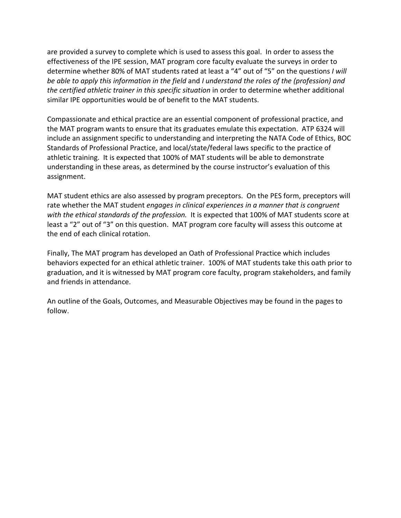are provided a survey to complete which is used to assess this goal. In order to assess the effectiveness of the IPE session, MAT program core faculty evaluate the surveys in order to determine whether 80% of MAT students rated at least a "4" out of "5" on the questions *I will be able to apply this information in the field* and *I understand the roles of the (profession) and the certified athletic trainer in this specific situation* in order to determine whether additional similar IPE opportunities would be of benefit to the MAT students.

Compassionate and ethical practice are an essential component of professional practice, and the MAT program wants to ensure that its graduates emulate this expectation. ATP 6324 will include an assignment specific to understanding and interpreting the NATA Code of Ethics, BOC Standards of Professional Practice, and local/state/federal laws specific to the practice of athletic training. It is expected that 100% of MAT students will be able to demonstrate understanding in these areas, as determined by the course instructor's evaluation of this assignment.

MAT student ethics are also assessed by program preceptors. On the PES form, preceptors will rate whether the MAT student *engages in clinical experiences in a manner that is congruent with the ethical standards of the profession.* It is expected that 100% of MAT students score at least a "2" out of "3" on this question. MAT program core faculty will assess this outcome at the end of each clinical rotation.

Finally, The MAT program has developed an Oath of Professional Practice which includes behaviors expected for an ethical athletic trainer. 100% of MAT students take this oath prior to graduation, and it is witnessed by MAT program core faculty, program stakeholders, and family and friends in attendance.

An outline of the Goals, Outcomes, and Measurable Objectives may be found in the pages to follow.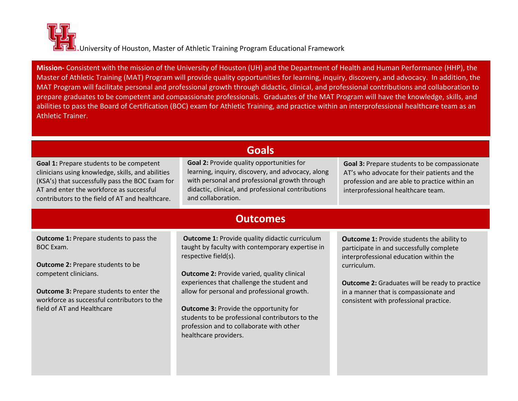**Mission-** Consistent with the mission of the University of Houston (UH) and the Department of Health and Human Performance (HHP), the Master of Athletic Training (MAT) Program will provide quality opportunities for learning, inquiry, discovery, and advocacy. In addition, the MAT Program will facilitate personal and professional growth through didactic, clinical, and professional contributions and collaboration to prepare graduates to be competent and compassionate professionals. Graduates of the MAT Program will have the knowledge, skills, and abilities to pass the Board of Certification (BOC) exam for Athletic Training, and practice within an interprofessional healthcare team as an Athletic Trainer.

|                                                                                                                                                                                                                                                                  | <b>Goals</b>                                                                                                                                                                                                                                                                                                                                                                                                                                                  |                                                                                                                                                                                                                                                                                                    |  |  |  |  |  |
|------------------------------------------------------------------------------------------------------------------------------------------------------------------------------------------------------------------------------------------------------------------|---------------------------------------------------------------------------------------------------------------------------------------------------------------------------------------------------------------------------------------------------------------------------------------------------------------------------------------------------------------------------------------------------------------------------------------------------------------|----------------------------------------------------------------------------------------------------------------------------------------------------------------------------------------------------------------------------------------------------------------------------------------------------|--|--|--|--|--|
| Goal 1: Prepare students to be competent<br>clinicians using knowledge, skills, and abilities<br>(KSA's) that successfully pass the BOC Exam for<br>AT and enter the workforce as successful<br>contributors to the field of AT and healthcare.                  | Goal 2: Provide quality opportunities for<br>learning, inquiry, discovery, and advocacy, along<br>with personal and professional growth through<br>didactic, clinical, and professional contributions<br>and collaboration.                                                                                                                                                                                                                                   | Goal 3: Prepare students to be compassionate<br>AT's who advocate for their patients and the<br>profession and are able to practice within an<br>interprofessional healthcare team.                                                                                                                |  |  |  |  |  |
|                                                                                                                                                                                                                                                                  | <b>Outcomes</b>                                                                                                                                                                                                                                                                                                                                                                                                                                               |                                                                                                                                                                                                                                                                                                    |  |  |  |  |  |
| <b>Outcome 1: Prepare students to pass the</b><br>BOC Exam.<br><b>Outcome 2: Prepare students to be</b><br>competent clinicians.<br><b>Outcome 3: Prepare students to enter the</b><br>workforce as successful contributors to the<br>field of AT and Healthcare | <b>Outcome 1: Provide quality didactic curriculum</b><br>taught by faculty with contemporary expertise in<br>respective field(s).<br><b>Outcome 2: Provide varied, quality clinical</b><br>experiences that challenge the student and<br>allow for personal and professional growth.<br><b>Outcome 3: Provide the opportunity for</b><br>students to be professional contributors to the<br>profession and to collaborate with other<br>healthcare providers. | <b>Outcome 1: Provide students the ability to</b><br>participate in and successfully complete<br>interprofessional education within the<br>curriculum.<br><b>Outcome 2:</b> Graduates will be ready to practice<br>in a manner that is compassionate and<br>consistent with professional practice. |  |  |  |  |  |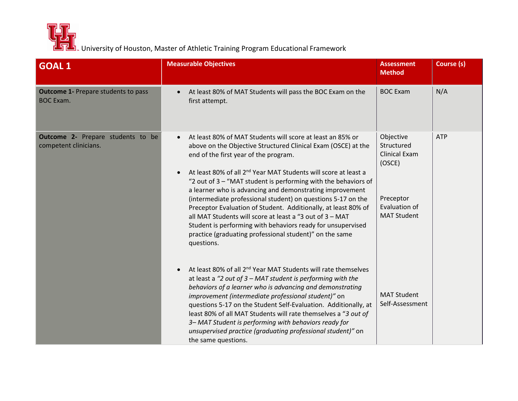

| <b>GOAL 1</b>                                                     | <b>Measurable Objectives</b>                                                                                                                                                                                                                                                                                                                                                                                                                                                                                                                                                                                                                                                                                                         | <b>Assessment</b><br><b>Method</b>                                                                            | Course (s) |
|-------------------------------------------------------------------|--------------------------------------------------------------------------------------------------------------------------------------------------------------------------------------------------------------------------------------------------------------------------------------------------------------------------------------------------------------------------------------------------------------------------------------------------------------------------------------------------------------------------------------------------------------------------------------------------------------------------------------------------------------------------------------------------------------------------------------|---------------------------------------------------------------------------------------------------------------|------------|
| <b>Outcome 1- Prepare students to pass</b><br><b>BOC Exam.</b>    | At least 80% of MAT Students will pass the BOC Exam on the<br>first attempt.                                                                                                                                                                                                                                                                                                                                                                                                                                                                                                                                                                                                                                                         | <b>BOC Exam</b>                                                                                               | N/A        |
| <b>Outcome 2-</b> Prepare students to be<br>competent clinicians. | At least 80% of MAT Students will score at least an 85% or<br>$\bullet$<br>above on the Objective Structured Clinical Exam (OSCE) at the<br>end of the first year of the program.<br>At least 80% of all 2 <sup>nd</sup> Year MAT Students will score at least a<br>"2 out of 3 - "MAT student is performing with the behaviors of<br>a learner who is advancing and demonstrating improvement<br>(intermediate professional student) on questions 5-17 on the<br>Preceptor Evaluation of Student. Additionally, at least 80% of<br>all MAT Students will score at least a "3 out of 3 - MAT<br>Student is performing with behaviors ready for unsupervised<br>practice (graduating professional student)" on the same<br>questions. | Objective<br>Structured<br><b>Clinical Exam</b><br>(OSCE)<br>Preceptor<br>Evaluation of<br><b>MAT Student</b> | <b>ATP</b> |
|                                                                   | At least 80% of all 2 <sup>nd</sup> Year MAT Students will rate themselves<br>at least a "2 out of $3$ – MAT student is performing with the<br>behaviors of a learner who is advancing and demonstrating<br>improvement (intermediate professional student)" on<br>questions 5-17 on the Student Self-Evaluation. Additionally, at<br>least 80% of all MAT Students will rate themselves a "3 out of<br>3-MAT Student is performing with behaviors ready for<br>unsupervised practice (graduating professional student)" on<br>the same questions.                                                                                                                                                                                   | <b>MAT Student</b><br>Self-Assessment                                                                         |            |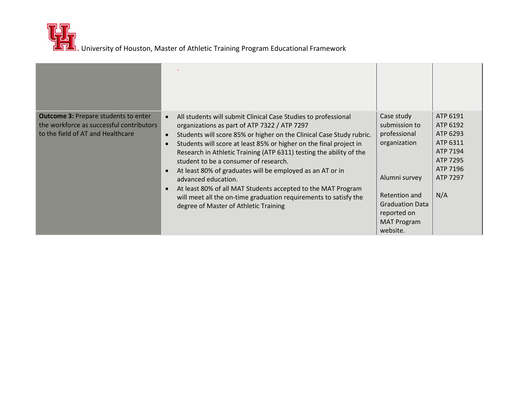| <b>Outcome 3: Prepare students to enter</b><br>the workforce as successful contributors<br>to the field of AT and Healthcare | All students will submit Clinical Case Studies to professional<br>organizations as part of ATP 7322 / ATP 7297<br>Students will score 85% or higher on the Clinical Case Study rubric.<br>$\bullet$<br>Students will score at least 85% or higher on the final project in<br>Research in Athletic Training (ATP 6311) testing the ability of the<br>student to be a consumer of research.<br>At least 80% of graduates will be employed as an AT or in<br>advanced education.<br>At least 80% of all MAT Students accepted to the MAT Program<br>will meet all the on-time graduation requirements to satisfy the<br>degree of Master of Athletic Training | Case study<br>submission to<br>professional<br>organization<br>Alumni survey<br>Retention and<br><b>Graduation Data</b><br>reported on<br><b>MAT Program</b><br>website. | ATP 6191<br>ATP 6192<br>ATP 6293<br>ATP 6311<br>ATP 7194<br>ATP 7295<br>ATP 7196<br>ATP 7297<br>N/A |
|------------------------------------------------------------------------------------------------------------------------------|------------------------------------------------------------------------------------------------------------------------------------------------------------------------------------------------------------------------------------------------------------------------------------------------------------------------------------------------------------------------------------------------------------------------------------------------------------------------------------------------------------------------------------------------------------------------------------------------------------------------------------------------------------|--------------------------------------------------------------------------------------------------------------------------------------------------------------------------|-----------------------------------------------------------------------------------------------------|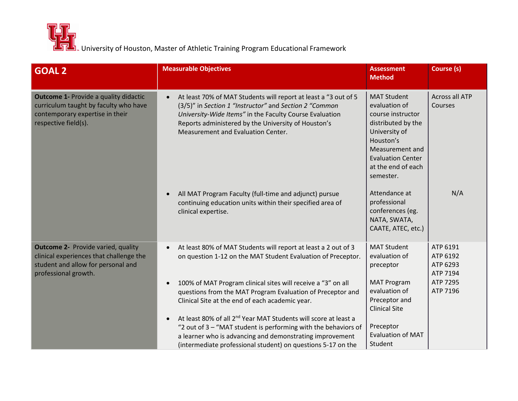| <b>GOAL 2</b>                                                                                                                                      | <b>Measurable Objectives</b>                                                                                                                                                                                                                                                                                                                                                                                                                                                                                                                                                                                                        | <b>Assessment</b><br><b>Method</b>                                                                                                                                                                                                                                                        | Course (s)                                                           |
|----------------------------------------------------------------------------------------------------------------------------------------------------|-------------------------------------------------------------------------------------------------------------------------------------------------------------------------------------------------------------------------------------------------------------------------------------------------------------------------------------------------------------------------------------------------------------------------------------------------------------------------------------------------------------------------------------------------------------------------------------------------------------------------------------|-------------------------------------------------------------------------------------------------------------------------------------------------------------------------------------------------------------------------------------------------------------------------------------------|----------------------------------------------------------------------|
| <b>Outcome 1- Provide a quality didactic</b><br>curriculum taught by faculty who have<br>contemporary expertise in their<br>respective field(s).   | At least 70% of MAT Students will report at least a "3 out of 5<br>$\bullet$<br>(3/5)" in Section 1 "Instructor" and Section 2 "Common<br>University-Wide Items" in the Faculty Course Evaluation<br>Reports administered by the University of Houston's<br>Measurement and Evaluation Center.<br>All MAT Program Faculty (full-time and adjunct) pursue<br>$\bullet$<br>continuing education units within their specified area of<br>clinical expertise.                                                                                                                                                                           | <b>MAT Student</b><br>evaluation of<br>course instructor<br>distributed by the<br>University of<br>Houston's<br>Measurement and<br><b>Evaluation Center</b><br>at the end of each<br>semester.<br>Attendance at<br>professional<br>conferences (eg.<br>NATA, SWATA,<br>CAATE, ATEC, etc.) | <b>Across all ATP</b><br>Courses<br>N/A                              |
| <b>Outcome 2- Provide varied, quality</b><br>clinical experiences that challenge the<br>student and allow for personal and<br>professional growth. | At least 80% of MAT Students will report at least a 2 out of 3<br>$\bullet$<br>on question 1-12 on the MAT Student Evaluation of Preceptor.<br>100% of MAT Program clinical sites will receive a "3" on all<br>$\bullet$<br>questions from the MAT Program Evaluation of Preceptor and<br>Clinical Site at the end of each academic year.<br>At least 80% of all 2 <sup>nd</sup> Year MAT Students will score at least a<br>$\bullet$<br>"2 out of 3 - "MAT student is performing with the behaviors of<br>a learner who is advancing and demonstrating improvement<br>(intermediate professional student) on questions 5-17 on the | <b>MAT Student</b><br>evaluation of<br>preceptor<br><b>MAT Program</b><br>evaluation of<br>Preceptor and<br><b>Clinical Site</b><br>Preceptor<br><b>Evaluation of MAT</b><br>Student                                                                                                      | ATP 6191<br>ATP 6192<br>ATP 6293<br>ATP 7194<br>ATP 7295<br>ATP 7196 |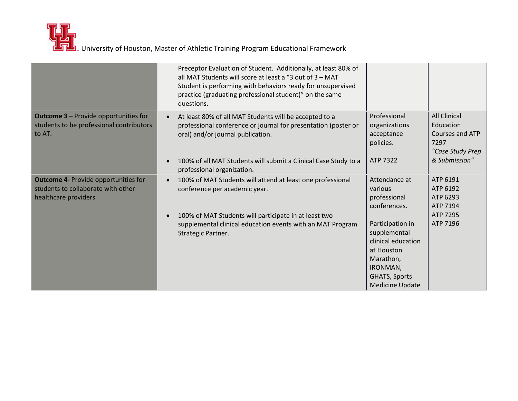|                                                                                                            | Preceptor Evaluation of Student. Additionally, at least 80% of<br>all MAT Students will score at least a "3 out of 3 - MAT<br>Student is performing with behaviors ready for unsupervised<br>practice (graduating professional student)" on the same<br>questions. |                                                                                                                                                 |                                                                                 |
|------------------------------------------------------------------------------------------------------------|--------------------------------------------------------------------------------------------------------------------------------------------------------------------------------------------------------------------------------------------------------------------|-------------------------------------------------------------------------------------------------------------------------------------------------|---------------------------------------------------------------------------------|
| <b>Outcome 3 - Provide opportunities for</b><br>students to be professional contributors<br>to AT.         | At least 80% of all MAT Students will be accepted to a<br>$\bullet$<br>professional conference or journal for presentation (poster or<br>oral) and/or journal publication.                                                                                         | Professional<br>organizations<br>acceptance<br>policies.                                                                                        | <b>All Clinical</b><br>Education<br>Courses and ATP<br>7297<br>"Case Study Prep |
|                                                                                                            | 100% of all MAT Students will submit a Clinical Case Study to a<br>$\bullet$<br>professional organization.                                                                                                                                                         | ATP 7322                                                                                                                                        | & Submission"                                                                   |
| <b>Outcome 4- Provide opportunities for</b><br>students to collaborate with other<br>healthcare providers. | 100% of MAT Students will attend at least one professional<br>$\bullet$<br>conference per academic year.                                                                                                                                                           | Attendance at<br>various<br>professional<br>conferences.                                                                                        | ATP 6191<br>ATP 6192<br>ATP 6293<br>ATP 7194                                    |
|                                                                                                            | 100% of MAT Students will participate in at least two<br>$\bullet$<br>supplemental clinical education events with an MAT Program<br>Strategic Partner.                                                                                                             | Participation in<br>supplemental<br>clinical education<br>at Houston<br>Marathon,<br>IRONMAN,<br><b>GHATS, Sports</b><br><b>Medicine Update</b> | ATP 7295<br>ATP 7196                                                            |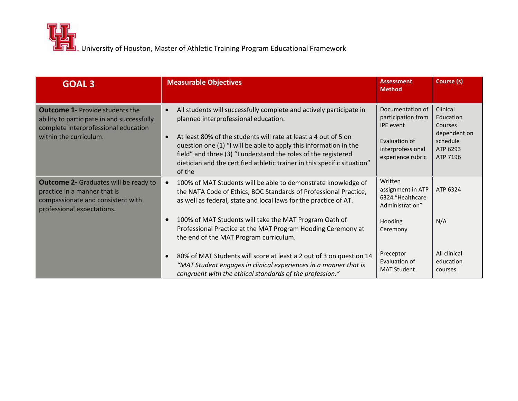| <b>GOAL 3</b>                                                                                                                                          | <b>Measurable Objectives</b>                                                                                                                                                                                                                                                                                                                                                                                | <b>Assessment</b><br><b>Method</b>                                                                                    | Course (s)                                                                           |
|--------------------------------------------------------------------------------------------------------------------------------------------------------|-------------------------------------------------------------------------------------------------------------------------------------------------------------------------------------------------------------------------------------------------------------------------------------------------------------------------------------------------------------------------------------------------------------|-----------------------------------------------------------------------------------------------------------------------|--------------------------------------------------------------------------------------|
| <b>Outcome 1- Provide students the</b><br>ability to participate in and successfully<br>complete interprofessional education<br>within the curriculum. | All students will successfully complete and actively participate in<br>planned interprofessional education.<br>At least 80% of the students will rate at least a 4 out of 5 on<br>question one (1) "I will be able to apply this information in the<br>field" and three (3) "I understand the roles of the registered<br>dietician and the certified athletic trainer in this specific situation"<br>of the | Documentation of<br>participation from<br><b>IPE</b> event<br>Evaluation of<br>interprofessional<br>experience rubric | Clinical<br>Education<br>Courses<br>dependent on<br>schedule<br>ATP 6293<br>ATP 7196 |
| <b>Outcome 2- Graduates will be ready to</b><br>practice in a manner that is<br>compassionate and consistent with<br>professional expectations.        | 100% of MAT Students will be able to demonstrate knowledge of<br>$\bullet$<br>the NATA Code of Ethics, BOC Standards of Professional Practice,<br>as well as federal, state and local laws for the practice of AT.<br>100% of MAT Students will take the MAT Program Oath of<br>Professional Practice at the MAT Program Hooding Ceremony at<br>the end of the MAT Program curriculum.                      | Written<br>assignment in ATP<br>6324 "Healthcare<br>Administration"<br>Hooding<br>Ceremony                            | ATP 6324<br>N/A                                                                      |
|                                                                                                                                                        | 80% of MAT Students will score at least a 2 out of 3 on question 14<br>"MAT Student engages in clinical experiences in a manner that is<br>congruent with the ethical standards of the profession."                                                                                                                                                                                                         | Preceptor<br>Evaluation of<br><b>MAT Student</b>                                                                      | All clinical<br>education<br>courses.                                                |